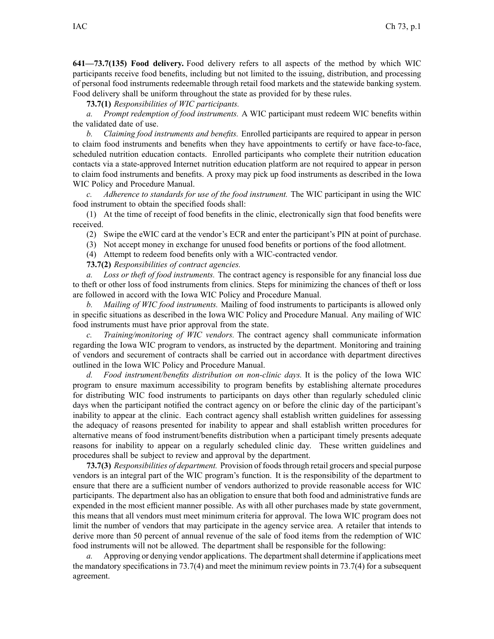**641—73.7(135) Food delivery.** Food delivery refers to all aspects of the method by which WIC participants receive food benefits, including but not limited to the issuing, distribution, and processing of personal food instruments redeemable through retail food markets and the statewide banking system. Food delivery shall be uniform throughout the state as provided for by these rules.

**73.7(1)** *Responsibilities of WIC participants.*

*a. Prompt redemption of food instruments.* A WIC participant must redeem WIC benefits within the validated date of use.

*b. Claiming food instruments and benefits.* Enrolled participants are required to appear in person to claim food instruments and benefits when they have appointments to certify or have face-to-face, scheduled nutrition education contacts. Enrolled participants who complete their nutrition education contacts via <sup>a</sup> state-approved Internet nutrition education platform are not required to appear in person to claim food instruments and benefits. A proxy may pick up food instruments as described in the Iowa WIC Policy and Procedure Manual.

*c. Adherence to standards for use of the food instrument.* The WIC participant in using the WIC food instrument to obtain the specified foods shall:

(1) At the time of receipt of food benefits in the clinic, electronically sign that food benefits were received.

(2) Swipe the eWIC card at the vendor's ECR and enter the participant's PIN at point of purchase.

(3) Not accep<sup>t</sup> money in exchange for unused food benefits or portions of the food allotment.

(4) Attempt to redeem food benefits only with <sup>a</sup> WIC-contracted vendor.

**73.7(2)** *Responsibilities of contract agencies.*

*a. Loss or theft of food instruments.* The contract agency is responsible for any financial loss due to theft or other loss of food instruments from clinics. Steps for minimizing the chances of theft or loss are followed in accord with the Iowa WIC Policy and Procedure Manual.

*b. Mailing of WIC food instruments.* Mailing of food instruments to participants is allowed only in specific situations as described in the Iowa WIC Policy and Procedure Manual. Any mailing of WIC food instruments must have prior approval from the state.

*c. Training/monitoring of WIC vendors.* The contract agency shall communicate information regarding the Iowa WIC program to vendors, as instructed by the department. Monitoring and training of vendors and securement of contracts shall be carried out in accordance with department directives outlined in the Iowa WIC Policy and Procedure Manual.

*d. Food instrument/benefits distribution on non-clinic days.* It is the policy of the Iowa WIC program to ensure maximum accessibility to program benefits by establishing alternate procedures for distributing WIC food instruments to participants on days other than regularly scheduled clinic days when the participant notified the contract agency on or before the clinic day of the participant's inability to appear at the clinic. Each contract agency shall establish written guidelines for assessing the adequacy of reasons presented for inability to appear and shall establish written procedures for alternative means of food instrument/benefits distribution when <sup>a</sup> participant timely presents adequate reasons for inability to appear on <sup>a</sup> regularly scheduled clinic day. These written guidelines and procedures shall be subject to review and approval by the department.

**73.7(3)** *Responsibilities of department.* Provision of foodsthrough retail grocers and special purpose vendors is an integral par<sup>t</sup> of the WIC program's function. It is the responsibility of the department to ensure that there are <sup>a</sup> sufficient number of vendors authorized to provide reasonable access for WIC participants. The department also has an obligation to ensure that both food and administrative funds are expended in the most efficient manner possible. As with all other purchases made by state government, this means that all vendors must meet minimum criteria for approval. The Iowa WIC program does not limit the number of vendors that may participate in the agency service area. A retailer that intends to derive more than 50 percen<sup>t</sup> of annual revenue of the sale of food items from the redemption of WIC food instruments will not be allowed. The department shall be responsible for the following:

*a.* Approving or denying vendor applications. The departmentshall determine if applications meet the mandatory specifications in 73.7(4) and meet the minimum review points in 73.7(4) for <sup>a</sup> subsequent agreement.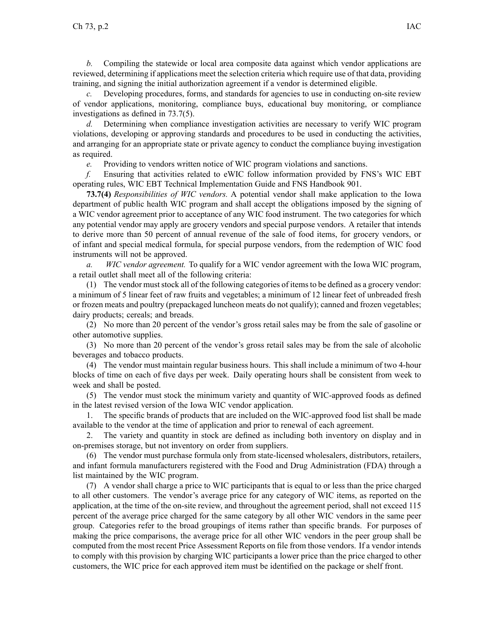*b.* Compiling the statewide or local area composite data against which vendor applications are reviewed, determining if applications meet the selection criteria which require use of that data, providing training, and signing the initial authorization agreemen<sup>t</sup> if <sup>a</sup> vendor is determined eligible.

*c.* Developing procedures, forms, and standards for agencies to use in conducting on-site review of vendor applications, monitoring, compliance buys, educational buy monitoring, or compliance investigations as defined in 73.7(5).

*d.* Determining when compliance investigation activities are necessary to verify WIC program violations, developing or approving standards and procedures to be used in conducting the activities, and arranging for an appropriate state or private agency to conduct the compliance buying investigation as required.

*e.* Providing to vendors written notice of WIC program violations and sanctions.

*f.* Ensuring that activities related to eWIC follow information provided by FNS's WIC EBT operating rules, WIC EBT Technical Implementation Guide and FNS Handbook 901.

**73.7(4)** *Responsibilities of WIC vendors.* A potential vendor shall make application to the Iowa department of public health WIC program and shall accep<sup>t</sup> the obligations imposed by the signing of <sup>a</sup> WIC vendor agreemen<sup>t</sup> prior to acceptance of any WIC food instrument. The two categories for which any potential vendor may apply are grocery vendors and special purpose vendors. A retailer that intends to derive more than 50 percen<sup>t</sup> of annual revenue of the sale of food items, for grocery vendors, or of infant and special medical formula, for special purpose vendors, from the redemption of WIC food instruments will not be approved.

*a. WIC vendor agreement.* To qualify for <sup>a</sup> WIC vendor agreemen<sup>t</sup> with the Iowa WIC program, <sup>a</sup> retail outlet shall meet all of the following criteria:

 $(1)$  The vendor must stock all of the following categories of items to be defined as a grocery vendor: <sup>a</sup> minimum of 5 linear feet of raw fruits and vegetables; <sup>a</sup> minimum of 12 linear feet of unbreaded fresh or frozen meats and poultry (prepackaged luncheon meats do not qualify); canned and frozen vegetables; dairy products; cereals; and breads.

(2) No more than 20 percen<sup>t</sup> of the vendor's gross retail sales may be from the sale of gasoline or other automotive supplies.

(3) No more than 20 percen<sup>t</sup> of the vendor's gross retail sales may be from the sale of alcoholic beverages and tobacco products.

(4) The vendor must maintain regular business hours. This shall include <sup>a</sup> minimum of two 4-hour blocks of time on each of five days per week. Daily operating hours shall be consistent from week to week and shall be posted.

(5) The vendor must stock the minimum variety and quantity of WIC-approved foods as defined in the latest revised version of the Iowa WIC vendor application.

1. The specific brands of products that are included on the WIC-approved food list shall be made available to the vendor at the time of application and prior to renewal of each agreement.

2. The variety and quantity in stock are defined as including both inventory on display and in on-premises storage, but not inventory on order from suppliers.

(6) The vendor must purchase formula only from state-licensed wholesalers, distributors, retailers, and infant formula manufacturers registered with the Food and Drug Administration (FDA) through <sup>a</sup> list maintained by the WIC program.

(7) A vendor shall charge <sup>a</sup> price to WIC participants that is equal to or less than the price charged to all other customers. The vendor's average price for any category of WIC items, as reported on the application, at the time of the on-site review, and throughout the agreemen<sup>t</sup> period, shall not exceed 115 percen<sup>t</sup> of the average price charged for the same category by all other WIC vendors in the same peer group. Categories refer to the broad groupings of items rather than specific brands. For purposes of making the price comparisons, the average price for all other WIC vendors in the peer group shall be computed from the most recent Price Assessment Reports on file from those vendors. If <sup>a</sup> vendor intends to comply with this provision by charging WIC participants <sup>a</sup> lower price than the price charged to other customers, the WIC price for each approved item must be identified on the package or shelf front.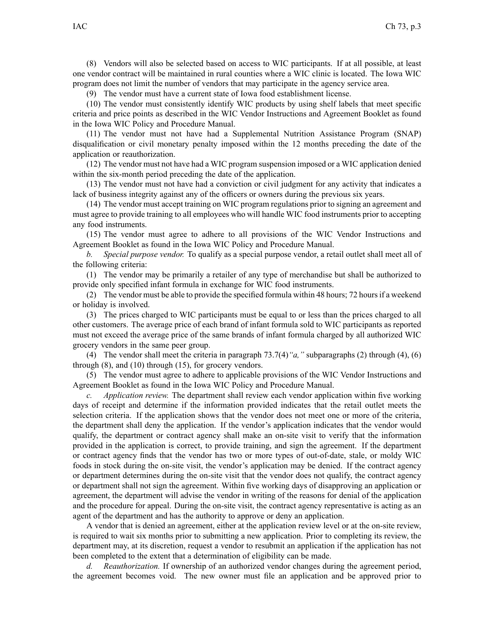(8) Vendors will also be selected based on access to WIC participants. If at all possible, at least one vendor contract will be maintained in rural counties where <sup>a</sup> WIC clinic is located. The Iowa WIC program does not limit the number of vendors that may participate in the agency service area.

(9) The vendor must have <sup>a</sup> current state of Iowa food establishment license.

(10) The vendor must consistently identify WIC products by using shelf labels that meet specific criteria and price points as described in the WIC Vendor Instructions and Agreement Booklet as found in the Iowa WIC Policy and Procedure Manual.

(11) The vendor must not have had <sup>a</sup> Supplemental Nutrition Assistance Program (SNAP) disqualification or civil monetary penalty imposed within the 12 months preceding the date of the application or reauthorization.

(12) The vendor must not have had <sup>a</sup> WIC program suspension imposed or <sup>a</sup> WIC application denied within the six-month period preceding the date of the application.

(13) The vendor must not have had <sup>a</sup> conviction or civil judgment for any activity that indicates <sup>a</sup> lack of business integrity against any of the officers or owners during the previous six years.

(14) The vendor must accep<sup>t</sup> training on WIC program regulations prior to signing an agreemen<sup>t</sup> and must agree to provide training to all employees who will handle WIC food instruments prior to accepting any food instruments.

(15) The vendor must agree to adhere to all provisions of the WIC Vendor Instructions and Agreement Booklet as found in the Iowa WIC Policy and Procedure Manual.

*b. Special purpose vendor.* To qualify as <sup>a</sup> special purpose vendor, <sup>a</sup> retail outlet shall meet all of the following criteria:

(1) The vendor may be primarily <sup>a</sup> retailer of any type of merchandise but shall be authorized to provide only specified infant formula in exchange for WIC food instruments.

(2) The vendor must be able to provide the specified formula within 48 hours; 72 hoursif <sup>a</sup> weekend or holiday is involved.

(3) The prices charged to WIC participants must be equal to or less than the prices charged to all other customers. The average price of each brand of infant formula sold to WIC participants as reported must not exceed the average price of the same brands of infant formula charged by all authorized WIC grocery vendors in the same peer group.

(4) The vendor shall meet the criteria in paragraph 73.7(4)*"a,"* subparagraphs (2) through (4), (6) through (8), and (10) through (15), for grocery vendors.

(5) The vendor must agree to adhere to applicable provisions of the WIC Vendor Instructions and Agreement Booklet as found in the Iowa WIC Policy and Procedure Manual.

*c. Application review.* The department shall review each vendor application within five working days of receipt and determine if the information provided indicates that the retail outlet meets the selection criteria. If the application shows that the vendor does not meet one or more of the criteria, the department shall deny the application. If the vendor's application indicates that the vendor would qualify, the department or contract agency shall make an on-site visit to verify that the information provided in the application is correct, to provide training, and sign the agreement. If the department or contract agency finds that the vendor has two or more types of out-of-date, stale, or moldy WIC foods in stock during the on-site visit, the vendor's application may be denied. If the contract agency or department determines during the on-site visit that the vendor does not qualify, the contract agency or department shall not sign the agreement. Within five working days of disapproving an application or agreement, the department will advise the vendor in writing of the reasons for denial of the application and the procedure for appeal. During the on-site visit, the contract agency representative is acting as an agen<sup>t</sup> of the department and has the authority to approve or deny an application.

A vendor that is denied an agreement, either at the application review level or at the on-site review, is required to wait six months prior to submitting <sup>a</sup> new application. Prior to completing its review, the department may, at its discretion, reques<sup>t</sup> <sup>a</sup> vendor to resubmit an application if the application has not been completed to the extent that <sup>a</sup> determination of eligibility can be made.

*d. Reauthorization.* If ownership of an authorized vendor changes during the agreemen<sup>t</sup> period, the agreemen<sup>t</sup> becomes void. The new owner must file an application and be approved prior to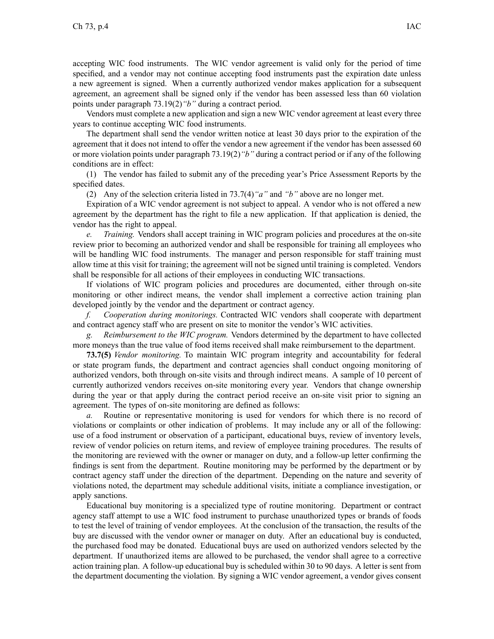accepting WIC food instruments. The WIC vendor agreemen<sup>t</sup> is valid only for the period of time specified, and <sup>a</sup> vendor may not continue accepting food instruments pas<sup>t</sup> the expiration date unless <sup>a</sup> new agreemen<sup>t</sup> is signed. When <sup>a</sup> currently authorized vendor makes application for <sup>a</sup> subsequent agreement, an agreemen<sup>t</sup> shall be signed only if the vendor has been assessed less than 60 violation points under paragraph [73.19\(2\)](https://www.legis.iowa.gov/docs/iac/rule/641.73.19.pdf)*"b"* during <sup>a</sup> contract period.

Vendors must complete <sup>a</sup> new application and sign <sup>a</sup> new WIC vendor agreemen<sup>t</sup> at least every three years to continue accepting WIC food instruments.

The department shall send the vendor written notice at least 30 days prior to the expiration of the agreemen<sup>t</sup> that it does not intend to offer the vendor <sup>a</sup> new agreemen<sup>t</sup> if the vendor has been assessed 60 or more violation points under paragraph [73.19\(2\)](https://www.legis.iowa.gov/docs/iac/rule/641.73.19.pdf)*"b"* during <sup>a</sup> contract period or if any of the following conditions are in effect:

(1) The vendor has failed to submit any of the preceding year's Price Assessment Reports by the specified dates.

(2) Any of the selection criteria listed in 73.7(4)*"a"* and *"b"* above are no longer met.

Expiration of <sup>a</sup> WIC vendor agreemen<sup>t</sup> is not subject to appeal. A vendor who is not offered <sup>a</sup> new agreemen<sup>t</sup> by the department has the right to file <sup>a</sup> new application. If that application is denied, the vendor has the right to appeal.

*e. Training.* Vendors shall accep<sup>t</sup> training in WIC program policies and procedures at the on-site review prior to becoming an authorized vendor and shall be responsible for training all employees who will be handling WIC food instruments. The manager and person responsible for staff training must allow time at this visit for training; the agreemen<sup>t</sup> will not be signed until training is completed. Vendors shall be responsible for all actions of their employees in conducting WIC transactions.

If violations of WIC program policies and procedures are documented, either through on-site monitoring or other indirect means, the vendor shall implement <sup>a</sup> corrective action training plan developed jointly by the vendor and the department or contract agency.

*f. Cooperation during monitorings.* Contracted WIC vendors shall cooperate with department and contract agency staff who are presen<sup>t</sup> on site to monitor the vendor's WIC activities.

*g. Reimbursement to the WIC program.* Vendors determined by the department to have collected more moneys than the true value of food items received shall make reimbursement to the department.

**73.7(5)** *Vendor monitoring.* To maintain WIC program integrity and accountability for federal or state program funds, the department and contract agencies shall conduct ongoing monitoring of authorized vendors, both through on-site visits and through indirect means. A sample of 10 percen<sup>t</sup> of currently authorized vendors receives on-site monitoring every year. Vendors that change ownership during the year or that apply during the contract period receive an on-site visit prior to signing an agreement. The types of on-site monitoring are defined as follows:

*a.* Routine or representative monitoring is used for vendors for which there is no record of violations or complaints or other indication of problems. It may include any or all of the following: use of <sup>a</sup> food instrument or observation of <sup>a</sup> participant, educational buys, review of inventory levels, review of vendor policies on return items, and review of employee training procedures. The results of the monitoring are reviewed with the owner or manager on duty, and <sup>a</sup> follow-up letter confirming the findings is sent from the department. Routine monitoring may be performed by the department or by contract agency staff under the direction of the department. Depending on the nature and severity of violations noted, the department may schedule additional visits, initiate <sup>a</sup> compliance investigation, or apply sanctions.

Educational buy monitoring is <sup>a</sup> specialized type of routine monitoring. Department or contract agency staff attempt to use <sup>a</sup> WIC food instrument to purchase unauthorized types or brands of foods to test the level of training of vendor employees. At the conclusion of the transaction, the results of the buy are discussed with the vendor owner or manager on duty. After an educational buy is conducted, the purchased food may be donated. Educational buys are used on authorized vendors selected by the department. If unauthorized items are allowed to be purchased, the vendor shall agree to <sup>a</sup> corrective action training plan. A follow-up educational buy is scheduled within 30 to 90 days. A letter is sent from the department documenting the violation. By signing <sup>a</sup> WIC vendor agreement, <sup>a</sup> vendor gives consent